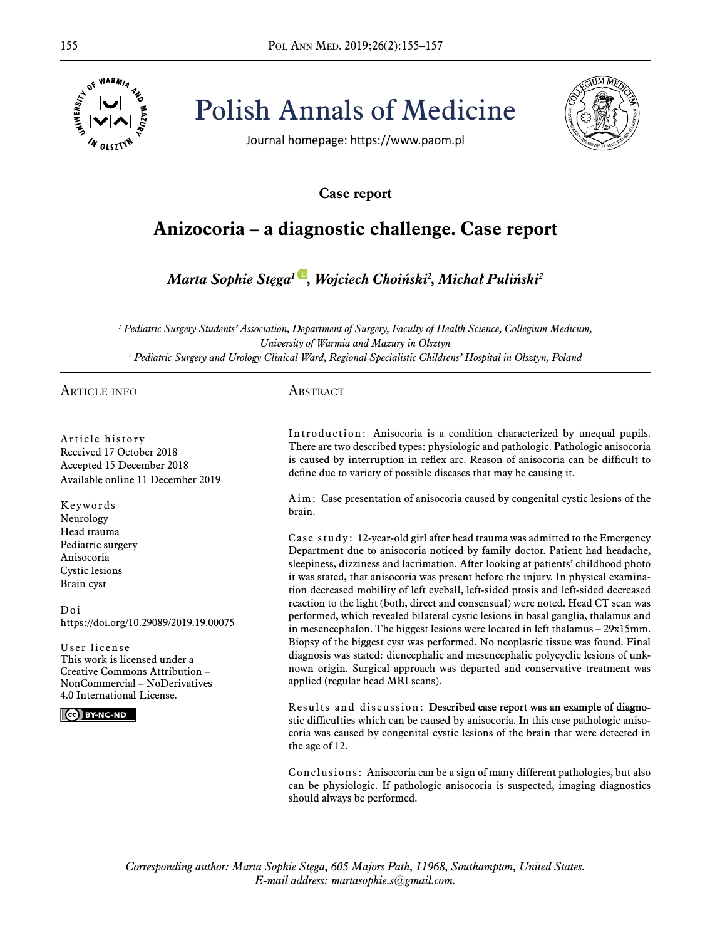

155 Pol Ann Med. 2019;26(2):155–157 Polish Annals of Medicine



Journal homepage: https://www.paom.pl

# **Case report**

# **Anizocoria – a diagnostic challenge. Case report**

*Marta Sophie Stęga[1](https://orcid.org/0000-0003-4153-1898) , Wojciech Choiński<sup>2</sup> , Michał Puliński<sup>2</sup>*

*1 Pediatric Surgery Students' Association, Department of Surgery, Faculty of Health Science, Collegium Medicum, University of Warmia and Mazury in Olsztyn 2 Pediatric Surgery and Urology Clinical Ward, Regional Specialistic Childrens' Hospital in Olsztyn, Poland* 

Article info

Article history Received 17 October 2018 Accepted 15 December 2018 Available online 11 December 2019

Keywords Neurology Head trauma Pediatric surgery Anisocoria Cystic lesions Brain cyst

Doi https://doi.org/10.29089/2019.19.00075

User license This work is licensed under a Creative Commons Attribution – NonCommercial – NoDerivatives 4.0 International License.

**CO** BY-NC-ND

**ABSTRACT** 

Introduction: Anisocoria is a condition characterized by unequal pupils. There are two described types: physiologic and pathologic. Pathologic anisocoria is caused by interruption in reflex arc. Reason of anisocoria can be difficult to define due to variety of possible diseases that may be causing it.

Aim: Case presentation of anisocoria caused by congenital cystic lesions of the brain.

Case study: 12-year-old girl after head trauma was admitted to the Emergency Department due to anisocoria noticed by family doctor. Patient had headache, sleepiness, dizziness and lacrimation. After looking at patients' childhood photo it was stated, that anisocoria was present before the injury. In physical examination decreased mobility of left eyeball, left-sided ptosis and left-sided decreased reaction to the light (both, direct and consensual) were noted. Head CT scan was performed, which revealed bilateral cystic lesions in basal ganglia, thalamus and in mesencephalon. The biggest lesions were located in left thalamus  $-29x15mm$ . Biopsy of the biggest cyst was performed. No neoplastic tissue was found. Final diagnosis was stated: diencephalic and mesencephalic polycyclic lesions of unknown origin. Surgical approach was departed and conservative treatment was applied (regular head MRI scans).

Results and discussion: Described case report was an example of diagnostic difficulties which can be caused by anisocoria. In this case pathologic anisocoria was caused by congenital cystic lesions of the brain that were detected in the age of 12.

Conclusions: Anisocoria can be a sign of many different pathologies, but also can be physiologic. If pathologic anisocoria is suspected, imaging diagnostics should always be performed.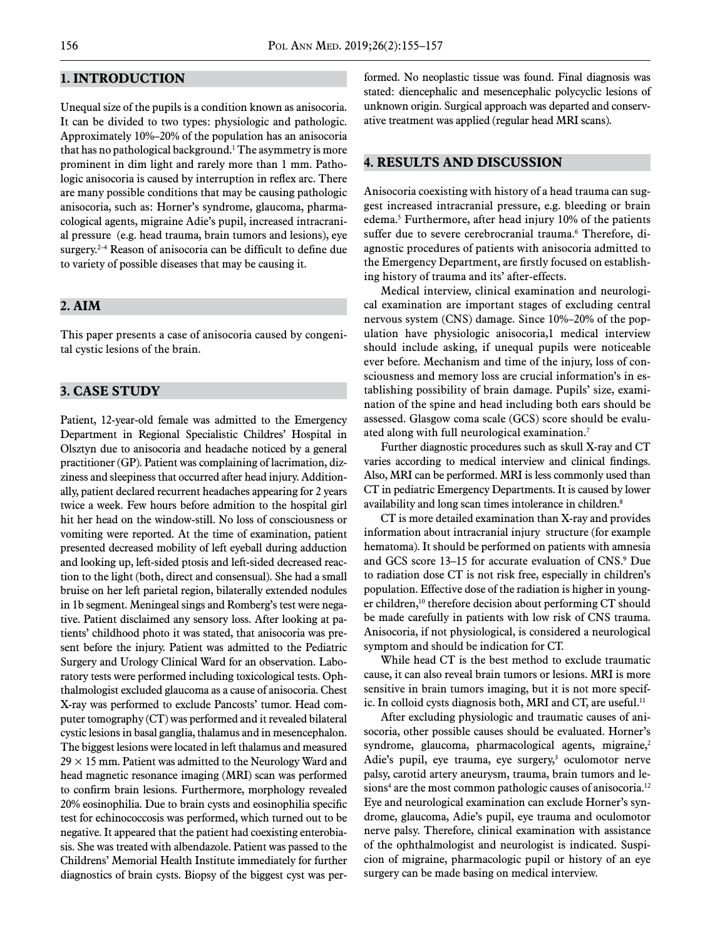## **1. INTRODUCTION**

Unequal size of the pupils is a condition known as anisocoria. It can be divided to two types: physiologic and pathologic. Approximately 10%–20% of the population has an anisocoria that has no pathological background.1 The asymmetry is more prominent in dim light and rarely more than 1 mm. Pathologic anisocoria is caused by interruption in reflex arc. There are many possible conditions that may be causing pathologic anisocoria, such as: Horner's syndrome, glaucoma, pharmacological agents, migraine Adie's pupil, increased intracranial pressure (e.g. head trauma, brain tumors and lesions), eye surgery.2–4 Reason of anisocoria can be difficult to define due to variety of possible diseases that may be causing it.

## **2. AIM**

This paper presents a case of anisocoria caused by congenital cystic lesions of the brain.

#### **3. CASE STUDY**

Patient, 12-year-old female was admitted to the Emergency Department in Regional Specialistic Childres' Hospital in Olsztyn due to anisocoria and headache noticed by a general practitioner (GP). Patient was complaining of lacrimation, dizziness and sleepiness that occurred after head injury. Additionally, patient declared recurrent headaches appearing for 2 years twice a week. Few hours before admition to the hospital girl hit her head on the window-still. No loss of consciousness or vomiting were reported. At the time of examination, patient presented decreased mobility of left eyeball during adduction and looking up, left-sided ptosis and left-sided decreased reaction to the light (both, direct and consensual). She had a small bruise on her left parietal region, bilaterally extended nodules in 1b segment. Meningeal sings and Romberg's test were negative. Patient disclaimed any sensory loss. After looking at patients' childhood photo it was stated, that anisocoria was present before the injury. Patient was admitted to the Pediatric Surgery and Urology Clinical Ward for an observation. Laboratory tests were performed including toxicological tests. Ophthalmologist excluded glaucoma as a cause of anisocoria. Chest X-ray was performed to exclude Pancosts' tumor. Head computer tomography (CT) was performed and it revealed bilateral cystic lesions in basal ganglia, thalamus and in mesencephalon. The biggest lesions were located in left thalamus and measured  $29 \times 15$  mm. Patient was admitted to the Neurology Ward and head magnetic resonance imaging (MRI) scan was performed to confirm brain lesions. Furthermore, morphology revealed 20% eosinophilia. Due to brain cysts and eosinophilia specific test for echinococcosis was performed, which turned out to be negative. It appeared that the patient had coexisting enterobiasis. She was treated with albendazole. Patient was passed to the Childrens' Memorial Health Institute immediately for further diagnostics of brain cysts. Biopsy of the biggest cyst was performed. No neoplastic tissue was found. Final diagnosis was stated: diencephalic and mesencephalic polycyclic lesions of unknown origin. Surgical approach was departed and conservative treatment was applied (regular head MRI scans).

#### **4. RESULTS AND DISCUSSION**

Anisocoria coexisting with history of a head trauma can suggest increased intracranial pressure, e.g. bleeding or brain edema.5 Furthermore, after head injury 10% of the patients suffer due to severe cerebrocranial trauma.<sup>6</sup> Therefore, diagnostic procedures of patients with anisocoria admitted to the Emergency Department, are firstly focused on establishing history of trauma and its' after-effects.

Medical interview, clinical examination and neurological examination are important stages of excluding central nervous system (CNS) damage. Since 10%–20% of the population have physiologic anisocoria,1 medical interview should include asking, if unequal pupils were noticeable ever before. Mechanism and time of the injury, loss of consciousness and memory loss are crucial information's in establishing possibility of brain damage. Pupils' size, examination of the spine and head including both ears should be assessed. Glasgow coma scale (GCS) score should be evaluated along with full neurological examination.<sup>7</sup>

Further diagnostic procedures such as skull X-ray and CT varies according to medical interview and clinical findings. Also, MRI can be performed. MRI is less commonly used than CT in pediatric Emergency Departments. It is caused by lower availability and long scan times intolerance in children.8

CT is more detailed examination than X-ray and provides information about intracranial injury structure (for example hematoma). It should be performed on patients with amnesia and GCS score 13–15 for accurate evaluation of CNS.<sup>9</sup> Due to radiation dose CT is not risk free, especially in children's population. Effective dose of the radiation is higher in younger children,<sup>10</sup> therefore decision about performing CT should be made carefully in patients with low risk of CNS trauma. Anisocoria, if not physiological, is considered a neurological symptom and should be indication for CT.

While head CT is the best method to exclude traumatic cause, it can also reveal brain tumors or lesions. MRI is more sensitive in brain tumors imaging, but it is not more specific. In colloid cysts diagnosis both, MRI and CT, are useful.<sup>11</sup>

After excluding physiologic and traumatic causes of anisocoria, other possible causes should be evaluated. Horner's syndrome, glaucoma, pharmacological agents, migraine,<sup>2</sup> Adie's pupil, eye trauma, eye surgery,<sup>3</sup> oculomotor nerve palsy, carotid artery aneurysm, trauma, brain tumors and lesions<sup>4</sup> are the most common pathologic causes of anisocoria.<sup>12</sup> Eye and neurological examination can exclude Horner's syndrome, glaucoma, Adie's pupil, eye trauma and oculomotor nerve palsy. Therefore, clinical examination with assistance of the ophthalmologist and neurologist is indicated. Suspicion of migraine, pharmacologic pupil or history of an eye surgery can be made basing on medical interview.